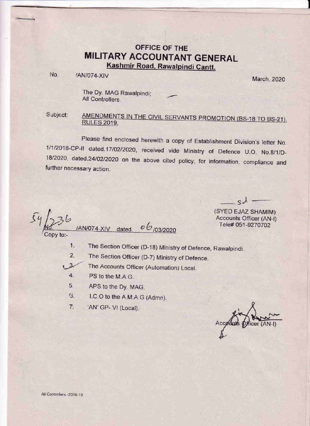# OFFICE OF THE **MILITARY ACCOUNTANT GENERAL** Kashmir Road, Rawalpindi Cantt.

No.

March, 2020

The Dy. MAG Rawalpindi; All Controllers.

/AN/074-XIV

Subject: AMENDMENTS IN THE CIVIL SERVANTS PROMOTION (BS-18 TO BS-21). **RULES 2019.** 

Please find enclosed herewith a copy of Establishment Division's letter No. 1/1/2018-CP-II dated.17/02/2020, received vide Ministry of Defence U.O. No.8/1/D-18/2020, dated.24/02/2020 on the above cited policy, for information, compliance and further necessary action.

 $06/03/2020$ /AN/074-XIV dated. opy to:-

(SYED EJAZ SHAMIM) **Accounts Officer (AN-I)** Tele# 051-9270702

 $ch$ .

1. The Section Officer (D-18) Ministry of Defence, Rawalpindi.

 $2.$ The Section Officer (D-7) Ministry of Defence.

The Accounts Officer (Automation) Local.  $3 -$ 

- $4.$ PS to the M.A.G.
- 5. APS to the Dy. MAG.
- I.C.O to the A.M.A.G (Admn).  $G.$
- $\overline{7}$ 'AN' GP- VI (Local).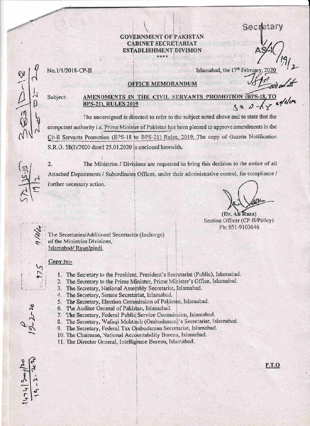Secmetary

#### **GOVERNMENT OF PAKISTAN CABINET SECRETARIAT ESTABLISHMENT DIVISION** \*\*\*\*



## No.1/1/2018-CP-II

### Islamabad, the 17<sup>th</sup> February, 201

## **OFFICE MEMORANDUM**

Subject:

#### AMENDMENTS IN THE CIVIL SERVANTS TION (BPS-18, T **BPS-21), RULES 2019**

The uncersigned is directed to refer to the subject noted above and to state that the competent authority i.e. Prime Minister of Pakistan has been pleased to approve amendments in the Civil Servants Promotion (BPS-18 to BPS-21) Rules, 2019. The copy of Gazette Notification S.R.O. 58(I)/2020 date 1 25.01.2020 is enclosed herewith.

 $\overline{2}$ . The Ministries / Divisions are requested to bring this decision to the notice of all Attached Departments / Subordinates Offices, under their administrative control, for compliance / further necessary action.

(Dr. Ali Raza)

Section Officer (CP-II/Policy) Ph: 051-9103646

The Secretaries/Additional Secretaries (Incharge) of the Ministries Divisions, Islamabad/Rawalpindi

## Copy to:-

- 1. The Secretary to the President, President's Secretariat (Public), Islamabad.
- 2. The Secretary to the Prime Minister, Prime Minister's Office, Islamabad.
- 3. The Secretary, National Assembly Secretariat, Islamabad.
- 4. The Secretary, Senate Secretariat, Islamabad.
- 5. The Secretary, Election Commission of Pakistan, Islamabad.
- 6. The Auditor General of Pakistan, Islamabad.
- 7. The Secretary, Federal Public Service Commission, Islamabad.
- 8. The Secretary, Wafaqi Mohtasib (Ombudsman)'s Secretariat, Islamabad.
- 9. The Secretary, Federal Tax Ombudsman Secretariat, Islamabad.
- 10. The Chairman, National Accountability Bureau, Islamabad.
- 11. The Director General, Intelligence Bureau, Islamabad.

P.T.O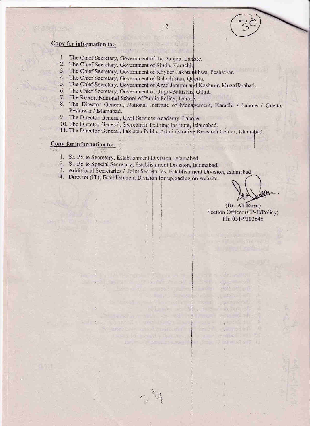## Copy for information to:-

- 1. The Chief Secretary, Government of the Punjab, Lahpre.
- 2. The Chief Secretary, Government of Sindh, Karachi.
- 3. The Chief Secretary, Government of Khyber Pakhtunkhwa, Peshawar.
- 4. The Chief Secretary, Government of Balochistan, Quetta.
- 5. The Chief Secretary, Government of Azad Jammu and Kashmir, Muzaffarabad.

 $-2-$ 

- 6. The Chief Secretary, Government of Gilgit-Baltistan, Gilgit.
- 7. The Rector, National School of Public Policy, Lahore.
- 8. The Director General, National Institute of Management, Karachi / Lahore / Quetta, Peshawar / Islamabad.
- 9. The Director General, Civil Services Academy, Lahore.
- 10. The Director General, Secretariat Training Institute, Islamabad.
- 11. The Director General, Pakistan Public Administrative Research Center, Islamabad.

#### Copy for information to:- $-11 - 1$

- 1. Sr. PS to Secretary, Establishment Division, Islamabad.
- 2. Sr. PS to Special Secretary, Establishment Division, Islamabad.
- 3. Additional Secretaries / Joint Secretaries, Establishment Division, Islamabad
- 4. Director (IT), Establishment Division for uploading on website.

(Dr. Ali Raza) Section Officer (CP-II/Policy) Ph: 051-9103646

te – Emile II., Kirk "Ar II. III

when the contract of the contract and in a broad entered in more than the prowhen the contribution of the first way of the

so the win me in the case of a series and only of a

add speech in stamp and the morning.

on not women in the second and the research of the second and the strike is the strike and the strike of the The Resolution of the Principle and Service Contracts he violetists and your money in the tary of the senior and the federal strength that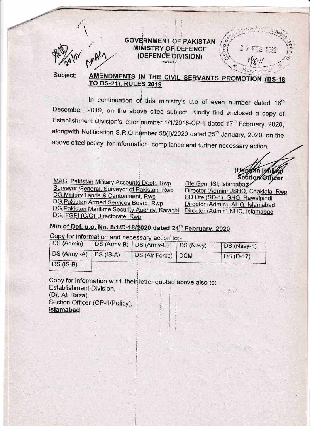## **GOVERNMENT OF PAKISTAN MINISTRY OF DEFENCE** (DEFENCE DIVISION)



Subject:

## AMENDMENTS IN THE CIVIL SERVANTS PROMOTION (BS-18 TO BS-21), RULES 2019

In continuation of this ministry's u.o of even number dated 16th December, 2019, on the above cited subject. Kindly find enclosed a copy of Establishment Division's letter number 1/1/2018-CP-II dated 17<sup>th</sup> February, 2020, alongwith Notification S.R.O number 58(I)/2020 dated 25<sup>th</sup> January, 2020, on the above cited policy, for information, compliance and further necessary action.

MAG, Pakistan Military Accounts Deptt, Rwp Surveyor General, Surveyor of Pakistan, Rwp DG, Military Lands & Cantonment, Rwp DG, Pakistan Armed Services Board, Rwp DG, Pakistan Maritime Security Agency, Karachi DG, FGEI (C/G) Directorate, Rwp

Dte Gen, ISI, Islamabad Director (Admin) JSHQ, Chaklala, Rwp SD Dte (SD-1), GHQ, Rawalpindi Director (Admin), AHQ, Islamabad Director (Admin) NHQ, Islamabad

2 7 FEB 2020

waan Ismi **Section Officer** 

# Min of Def. u.o. No. 8/1/D-18/2020 dated 24th February, 2020

Copy for information and necessary action to:-

| DS (Admin)             | DS (Army-B) DS (Army-C) | DS (Navy) | DS (Navy-II) |
|------------------------|-------------------------|-----------|--------------|
| DS (Army -A) DS (IS-A) | DS (Air Force) DCM      |           | $DS(D-17)$   |
| $DS (IS-B)$            |                         |           |              |

Copy for information w.r.t. their letter quoted above also to:-Establishment Division, 2. 随应 (Dr. Ali Raza). Section Officer (CP-II/Policy), **Islamabad**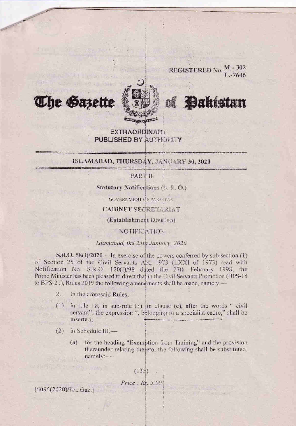

REGISTERED No.  $\frac{M-302}{L-7646}$ 

# of **Dakistan**

charge control and control and an

## **EXTRAORDINARY PUBLISHED BY AUTHORITY**

## ISLAMABAD, THURSDAY, JANUARY 30, 2020

PART II

**Statutory Notifications (S. R. O.)** 

**GOVERNMENT OF PAKETAN** 

**CABINET SECRETARIAT** 

(Establishment Division)

**NOTIFICATION** 

## Islamabad, the 25th January, 2020

S.R.O.  $58(1)/2020$  — In exercise of the powers conferred by sub-section (1) of Section 25 of the Civil Servants Act, 1973 (LXXI of 1973) read with Notification No. S.R.O. 120(1)/98 dated the 27th February 1998, the Prime Minister has been pleased to direct that in the Civil Servants Promotion (BPS-18 to BPS-21), Rules 2019 the following amendments shall be made, namely --

- In the aforesaid Rules,- $2.$
- in rule 18, in sub-rule (3), in clause (e), after the words " civil  $(1)$ servant", the expression ", belonging to a specialist cadre," shall be inserted:
- $(2)$ in Schedule III,-

**The Sazette** 

for the heading "Exemption from Training" and the provision  $(a)$ thereunder relating thereto, the following shall be substituted,  $namely:$ 

 $(135)$ 

 $Price: Rs. 5.00$ 

[5095(2020)/Ex., Gaz.]